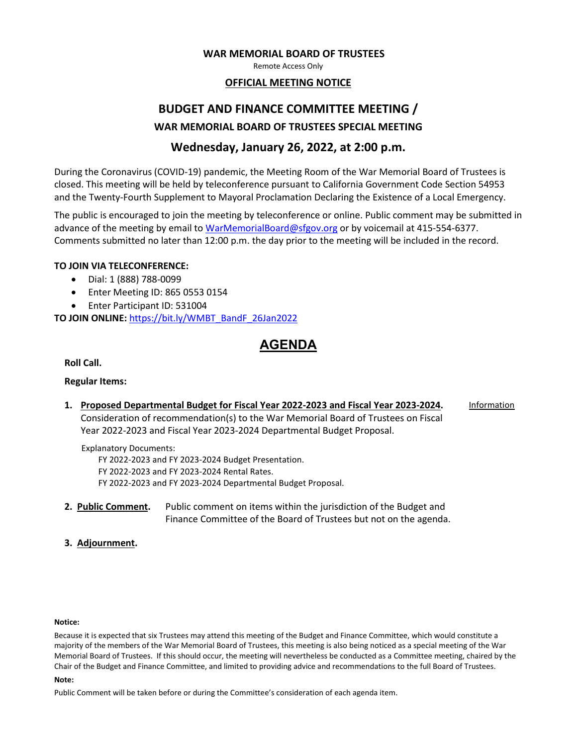#### **WAR MEMORIAL BOARD OF TRUSTEES**

Remote Access Only

### **OFFICIAL MEETING NOTICE**

## **BUDGET AND FINANCE COMMITTEE MEETING / WAR MEMORIAL BOARD OF TRUSTEES SPECIAL MEETING**

### **Wednesday, January 26, 2022, at 2:00 p.m.**

During the Coronavirus (COVID-19) pandemic, the Meeting Room of the War Memorial Board of Trustees is closed. This meeting will be held by teleconference pursuant to California Government Code Section 54953 and the Twenty-Fourth Supplement to Mayoral Proclamation Declaring the Existence of a Local Emergency.

The public is encouraged to join the meeting by teleconference or online. Public comment may be submitted in advance of the meeting by email to [WarMemorialBoard@sfgov.org](mailto:WarMemorialBoard@sfgov.org) or by voicemail at 415-554-6377. Comments submitted no later than 12:00 p.m. the day prior to the meeting will be included in the record.

### **TO JOIN VIA TELECONFERENCE:**

- Dial: 1 (888) 788-0099
- Enter Meeting ID: 865 0553 0154
- Enter Participant ID: 531004

**TO JOIN ONLINE:** [https://bit.ly/WMBT\\_BandF\\_26Jan2022](https://bit.ly/WMBT_BandF_26Jan2022)

## **AGENDA**

**Roll Call.**

### **Regular Items:**

**1. Proposed Departmental Budget for Fiscal Year 2022-2023 and Fiscal Year 2023-2024.** Consideration of recommendation(s) to the War Memorial Board of Trustees on Fiscal Year 2022-2023 and Fiscal Year 2023-2024 Departmental Budget Proposal. Information

Explanatory Documents: FY 2022-2023 and FY 2023-2024 Budget Presentation.

FY 2022-2023 and FY 2023-2024 Rental Rates.

FY 2022-2023 and FY 2023-2024 Departmental Budget Proposal.

- **2. Public Comment.** Public comment on items within the jurisdiction of the Budget and Finance Committee of the Board of Trustees but not on the agenda.
- **3. Adjournment.**

#### **Notice:**

Because it is expected that six Trustees may attend this meeting of the Budget and Finance Committee, which would constitute a majority of the members of the War Memorial Board of Trustees, this meeting is also being noticed as a special meeting of the War Memorial Board of Trustees. If this should occur, the meeting will nevertheless be conducted as a Committee meeting, chaired by the Chair of the Budget and Finance Committee, and limited to providing advice and recommendations to the full Board of Trustees.

#### **Note:**

Public Comment will be taken before or during the Committee's consideration of each agenda item.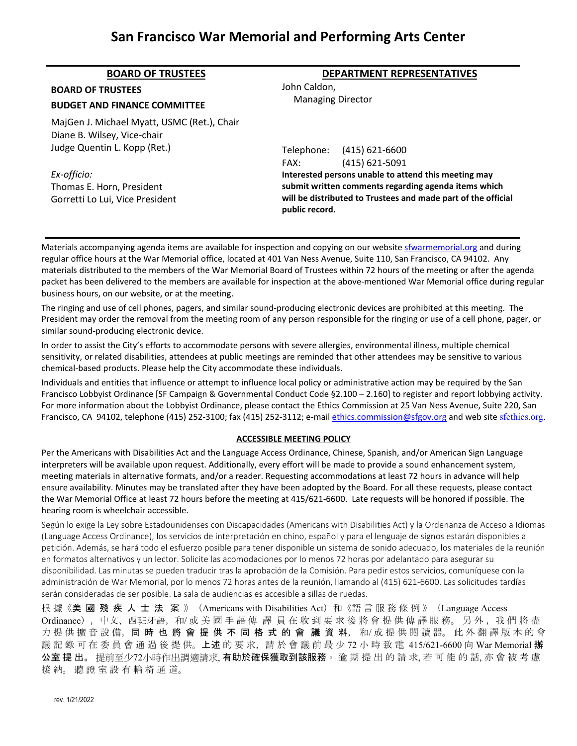## **San Francisco War Memorial and Performing Arts Center**

| <b>BOARD OF TRUSTEES</b>                                                    | <b>DEPARTMENT REPRESENTATIVES</b>                                                                                                                                                               |
|-----------------------------------------------------------------------------|-------------------------------------------------------------------------------------------------------------------------------------------------------------------------------------------------|
| <b>BOARD OF TRUSTEES</b>                                                    | John Caldon.<br><b>Managing Director</b>                                                                                                                                                        |
| <b>BUDGET AND FINANCE COMMITTEE</b>                                         |                                                                                                                                                                                                 |
| MajGen J. Michael Myatt, USMC (Ret.), Chair<br>Diane B. Wilsey, Vice-chair  |                                                                                                                                                                                                 |
| Judge Quentin L. Kopp (Ret.)                                                | Telephone: (415) 621-6600<br>$(415) 621 - 5091$<br>FAX:                                                                                                                                         |
| Ex-officio:<br>Thomas E. Horn, President<br>Gorretti Lo Lui, Vice President | Interested persons unable to attend this meeting may<br>submit written comments regarding agenda items which<br>will be distributed to Trustees and made part of the official<br>public record. |

Materials accompanying agenda items are available for inspection and copying on our websit[e sfwarmemorial.org](https://sfwarmemorial.org/) and during regular office hours at the War Memorial office, located at 401 Van Ness Avenue, Suite 110, San Francisco, CA 94102. Any materials distributed to the members of the War Memorial Board of Trustees within 72 hours of the meeting or after the agenda packet has been delivered to the members are available for inspection at the above-mentioned War Memorial office during regular business hours, on our website, or at the meeting.

The ringing and use of cell phones, pagers, and similar sound-producing electronic devices are prohibited at this meeting. The President may order the removal from the meeting room of any person responsible for the ringing or use of a cell phone, pager, or similar sound-producing electronic device.

In order to assist the City's efforts to accommodate persons with severe allergies, environmental illness, multiple chemical sensitivity, or related disabilities, attendees at public meetings are reminded that other attendees may be sensitive to various chemical-based products. Please help the City accommodate these individuals.

Individuals and entities that influence or attempt to influence local policy or administrative action may be required by the San Francisco Lobbyist Ordinance [SF Campaign & Governmental Conduct Code §2.100 – 2.160] to register and report lobbying activity. For more information about the Lobbyist Ordinance, please contact the Ethics Commission at 25 Van Ness Avenue, Suite 220, San Francisco, CA 94102, telephone (415) 252-3100; fax (415) 252-3112; e-mai[l ethics.commission@sfgov.org](mailto:ethics.commission@sfgov.org) and web site [sfethics.org](https://sfethics.org/).

#### **ACCESSIBLE MEETING POLICY**

Per the Americans with Disabilities Act and the Language Access Ordinance, Chinese, Spanish, and/or American Sign Language interpreters will be available upon request. Additionally, every effort will be made to provide a sound enhancement system, meeting materials in alternative formats, and/or a reader. Requesting accommodations at least 72 hours in advance will help ensure availability. Minutes may be translated after they have been adopted by the Board. For all these requests, please contact the War Memorial Office at least 72 hours before the meeting at 415/621-6600. Late requests will be honored if possible. The hearing room is wheelchair accessible.

Según lo exige la Ley sobre Estadounidenses con Discapacidades (Americans with Disabilities Act) y la Ordenanza de Acceso a Idiomas (Language Access Ordinance), los servicios de interpretación en chino, español y para el lenguaje de signos estarán disponibles a petición. Además, se hará todo el esfuerzo posible para tener disponible un sistema de sonido adecuado, los materiales de la reunión en formatos alternativos y un lector. Solicite las acomodaciones por lo menos 72 horas por adelantado para asegurar su disponibilidad. Las minutas se pueden traducir tras la aprobación de la Comisión. Para pedir estos servicios, comuníquese con la administración de War Memorial, por lo menos 72 horas antes de la reunión, llamando al (415) 621-6600. Las solicitudes tardías serán consideradas de ser posible. La sala de audiencias es accesible a sillas de ruedas.

根 據 《美 國 殘 疾 人 士 法 案 》(Americans with Disabilities Act)和 《語 言 服 務 條 例 》(Language Access Ordinance), 中文、西班牙語, 和/ 或 美 國 手 語 傳 譯 員 在 收 到 要 求 後 將 會 提 供 傳 譯 服 務。 另 外, 我 們 將 盡 力 提 供 擴 音 設 備, 同 時 也 將 會 提 供 不 同 格 式 的 會 議 資 料, 和/或 提 供 閱 讀 器。 此 外 翻 譯 版 本 的 會 議 記 錄 可 在 委 員 會 通 過 後 提 供。上述 的 要 求, 請 於 會 議 前 最 少 72 小 時 致 電 415/621-6600 向 War Memorial 辦 公室 提 出。 提前至少72小時作出調適請求, 有助於確保獲取到該服務。 逾 期 提 出 的 請 求, 若 可 能 的 話, 亦 會 被 考 慮 接 納。 聽 證 室 設 有 輪 椅 通 道。